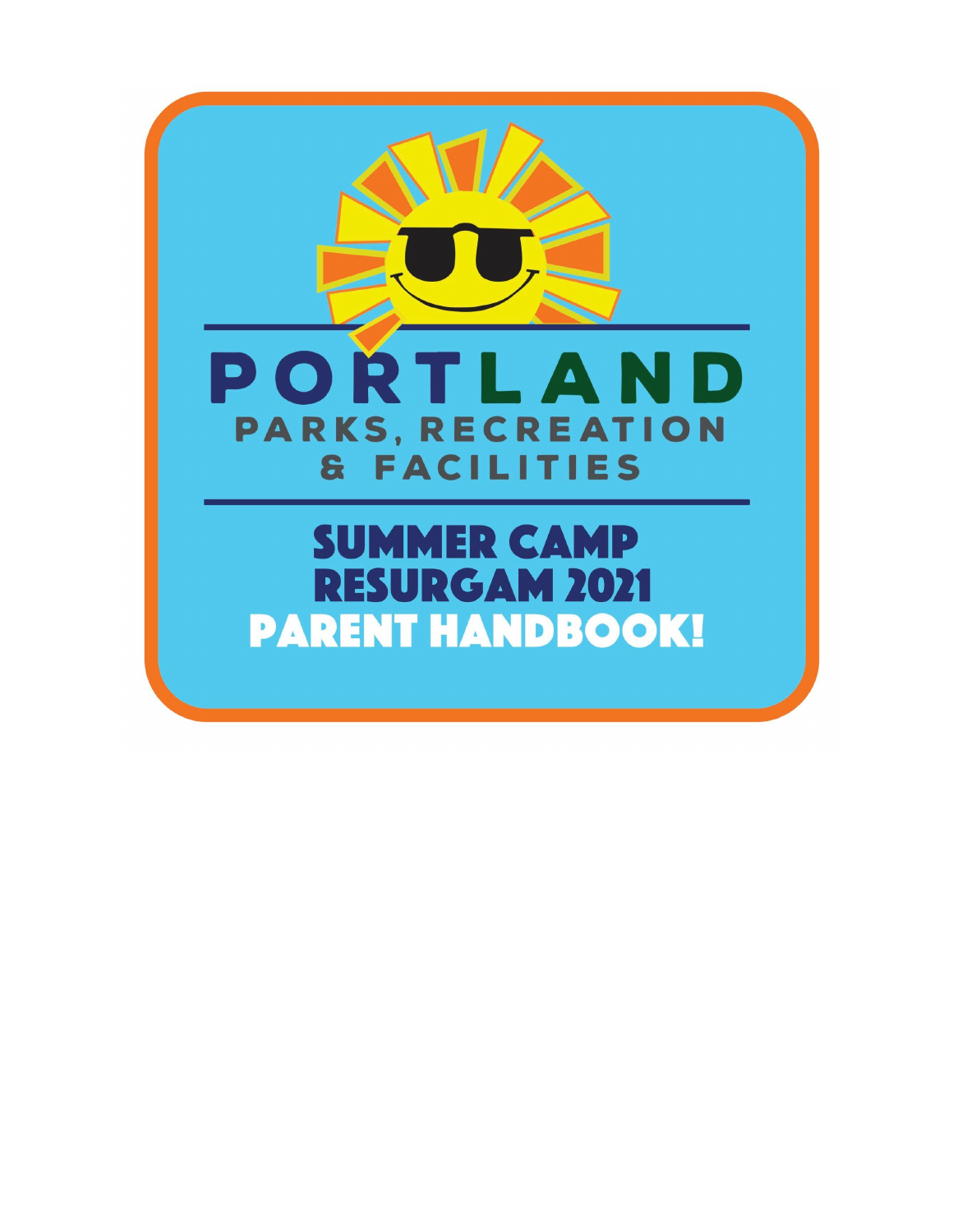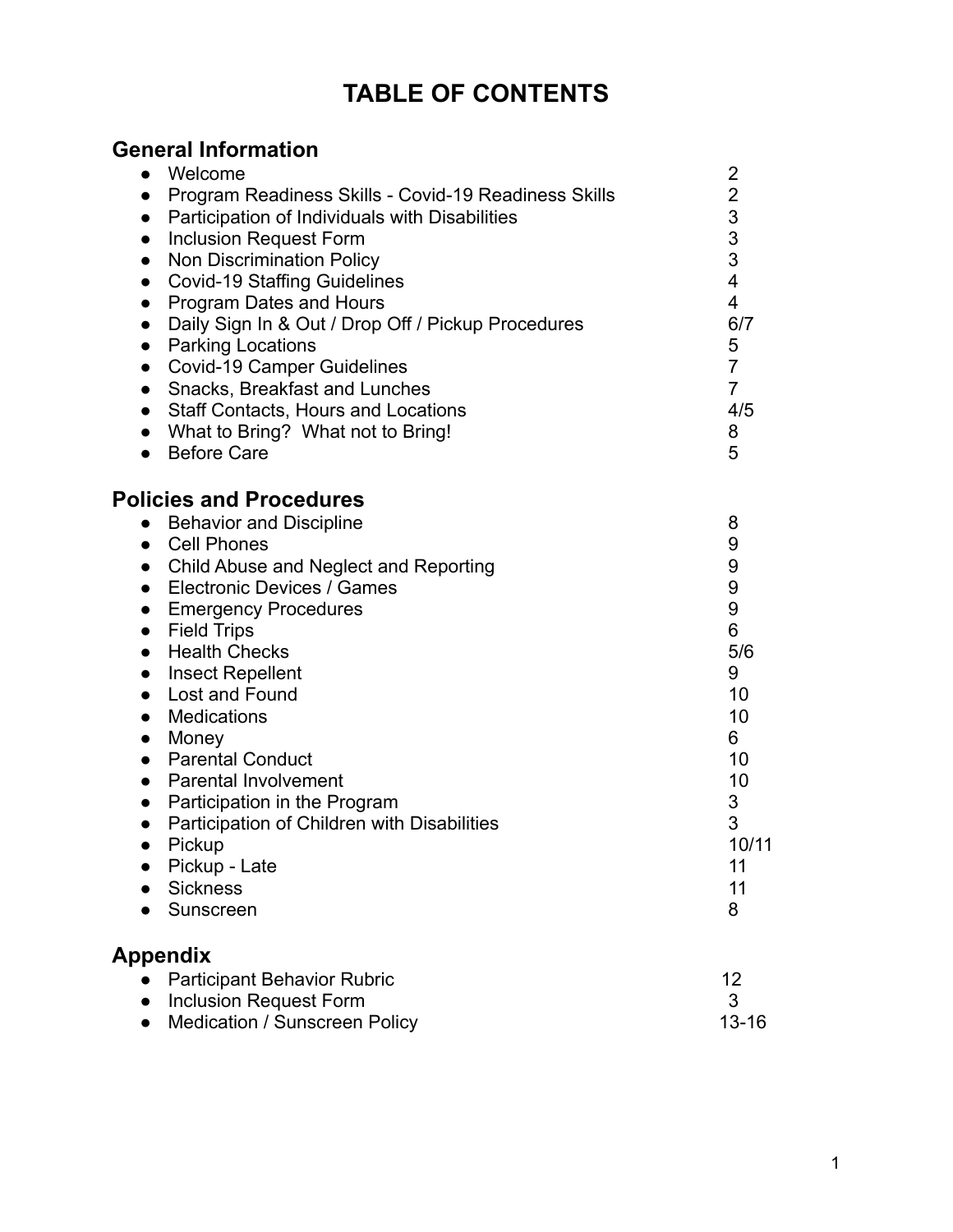# **TABLE OF CONTENTS**

## **General Information**

| Welcome<br>$\bullet$                                              | $\overline{2}$                        |
|-------------------------------------------------------------------|---------------------------------------|
| Program Readiness Skills - Covid-19 Readiness Skills<br>$\bullet$ | $\overline{c}$                        |
| Participation of Individuals with Disabilities<br>$\bullet$       |                                       |
| <b>Inclusion Request Form</b><br>$\bullet$                        | $\begin{array}{c} 3 \\ 3 \end{array}$ |
| Non Discrimination Policy<br>$\bullet$                            |                                       |
| <b>Covid-19 Staffing Guidelines</b><br>$\bullet$                  | 4                                     |
| Program Dates and Hours<br>$\bullet$                              | $\overline{4}$                        |
| Daily Sign In & Out / Drop Off / Pickup Procedures<br>$\bullet$   | 6/7                                   |
| <b>Parking Locations</b><br>$\bullet$                             | 5                                     |
| <b>Covid-19 Camper Guidelines</b><br>$\bullet$                    | $\overline{7}$                        |
| Snacks, Breakfast and Lunches<br>$\bullet$                        | $\overline{7}$                        |
| <b>Staff Contacts, Hours and Locations</b>                        | 4/5                                   |
| $\bullet$<br>What to Bring? What not to Bring!                    | 8                                     |
| $\bullet$<br><b>Before Care</b>                                   | 5                                     |
| $\bullet$                                                         |                                       |
| <b>Policies and Procedures</b>                                    |                                       |
| <b>Behavior and Discipline</b><br>$\bullet$                       | 8                                     |
| • Cell Phones                                                     | 9                                     |
| Child Abuse and Neglect and Reporting<br>$\bullet$                | 9                                     |
| <b>Electronic Devices / Games</b><br>$\bullet$                    | 9                                     |
| <b>Emergency Procedures</b><br>$\bullet$                          | $9$                                   |
| <b>Field Trips</b><br>$\bullet$                                   | 6                                     |
| <b>Health Checks</b><br>$\bullet$                                 | 5/6                                   |
| <b>Insect Repellent</b><br>$\bullet$                              | 9                                     |
| Lost and Found<br>$\bullet$                                       | 10                                    |
| <b>Medications</b><br>$\bullet$                                   | 10                                    |
| Money<br>$\bullet$                                                | 6                                     |
| <b>Parental Conduct</b><br>$\bullet$                              | 10                                    |
| <b>Parental Involvement</b><br>$\bullet$                          | 10                                    |
| Participation in the Program<br>$\bullet$                         | 3                                     |
| Participation of Children with Disabilities<br>$\bullet$          | 3                                     |
| Pickup<br>$\bullet$                                               | 10/11                                 |
| Pickup - Late                                                     | 11                                    |
| <b>Sickness</b>                                                   | 11                                    |
| Sunscreen                                                         | 8                                     |
| <b>Appendix</b>                                                   |                                       |
| <b>Participant Behavior Rubric</b>                                | 12                                    |

● Inclusion Request Form 3 ● Medication / Sunscreen Policy 13-16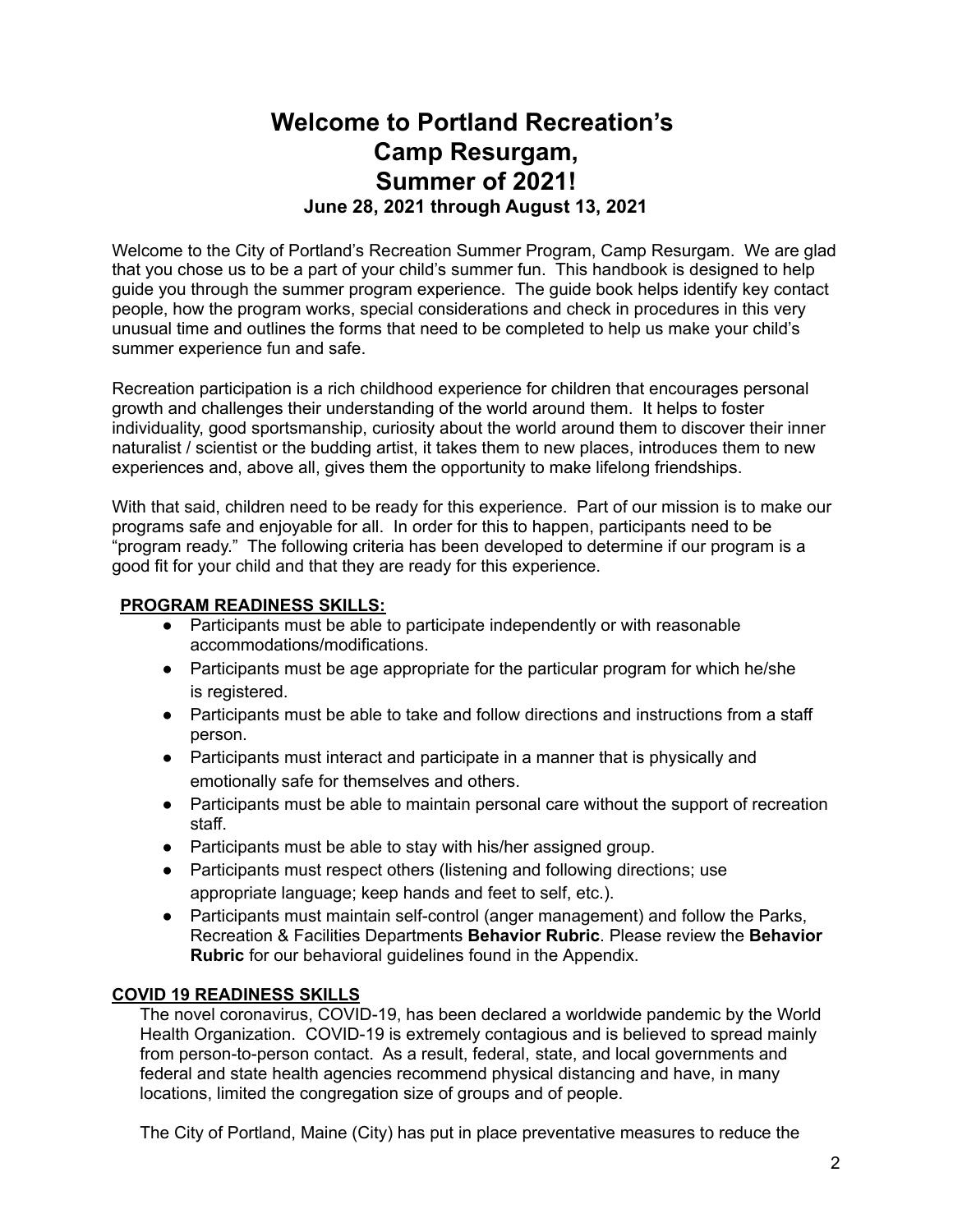## **Welcome to Portland Recreation's Camp Resurgam, Summer of 2021! June 28, 2021 through August 13, 2021**

Welcome to the City of Portland's Recreation Summer Program, Camp Resurgam. We are glad that you chose us to be a part of your child's summer fun. This handbook is designed to help guide you through the summer program experience. The guide book helps identify key contact people, how the program works, special considerations and check in procedures in this very unusual time and outlines the forms that need to be completed to help us make your child's summer experience fun and safe.

Recreation participation is a rich childhood experience for children that encourages personal growth and challenges their understanding of the world around them. It helps to foster individuality, good sportsmanship, curiosity about the world around them to discover their inner naturalist / scientist or the budding artist, it takes them to new places, introduces them to new experiences and, above all, gives them the opportunity to make lifelong friendships.

With that said, children need to be ready for this experience. Part of our mission is to make our programs safe and enjoyable for all. In order for this to happen, participants need to be "program ready." The following criteria has been developed to determine if our program is a good fit for your child and that they are ready for this experience.

#### **PROGRAM READINESS SKILLS:**

- Participants must be able to participate independently or with reasonable accommodations/modifications.
- Participants must be age appropriate for the particular program for which he/she is registered.
- Participants must be able to take and follow directions and instructions from a staff person.
- Participants must interact and participate in a manner that is physically and emotionally safe for themselves and others.
- Participants must be able to maintain personal care without the support of recreation staff.
- Participants must be able to stay with his/her assigned group.
- Participants must respect others (listening and following directions; use appropriate language; keep hands and feet to self, etc.).
- Participants must maintain self-control (anger management) and follow the Parks, Recreation & Facilities Departments **Behavior Rubric**. Please review the **Behavior Rubric** for our behavioral guidelines found in the Appendix.

### **COVID 19 READINESS SKILLS**

The novel coronavirus, COVID-19, has been declared a worldwide pandemic by the World Health Organization. COVID-19 is extremely contagious and is believed to spread mainly from person-to-person contact. As a result, federal, state, and local governments and federal and state health agencies recommend physical distancing and have, in many locations, limited the congregation size of groups and of people.

The City of Portland, Maine (City) has put in place preventative measures to reduce the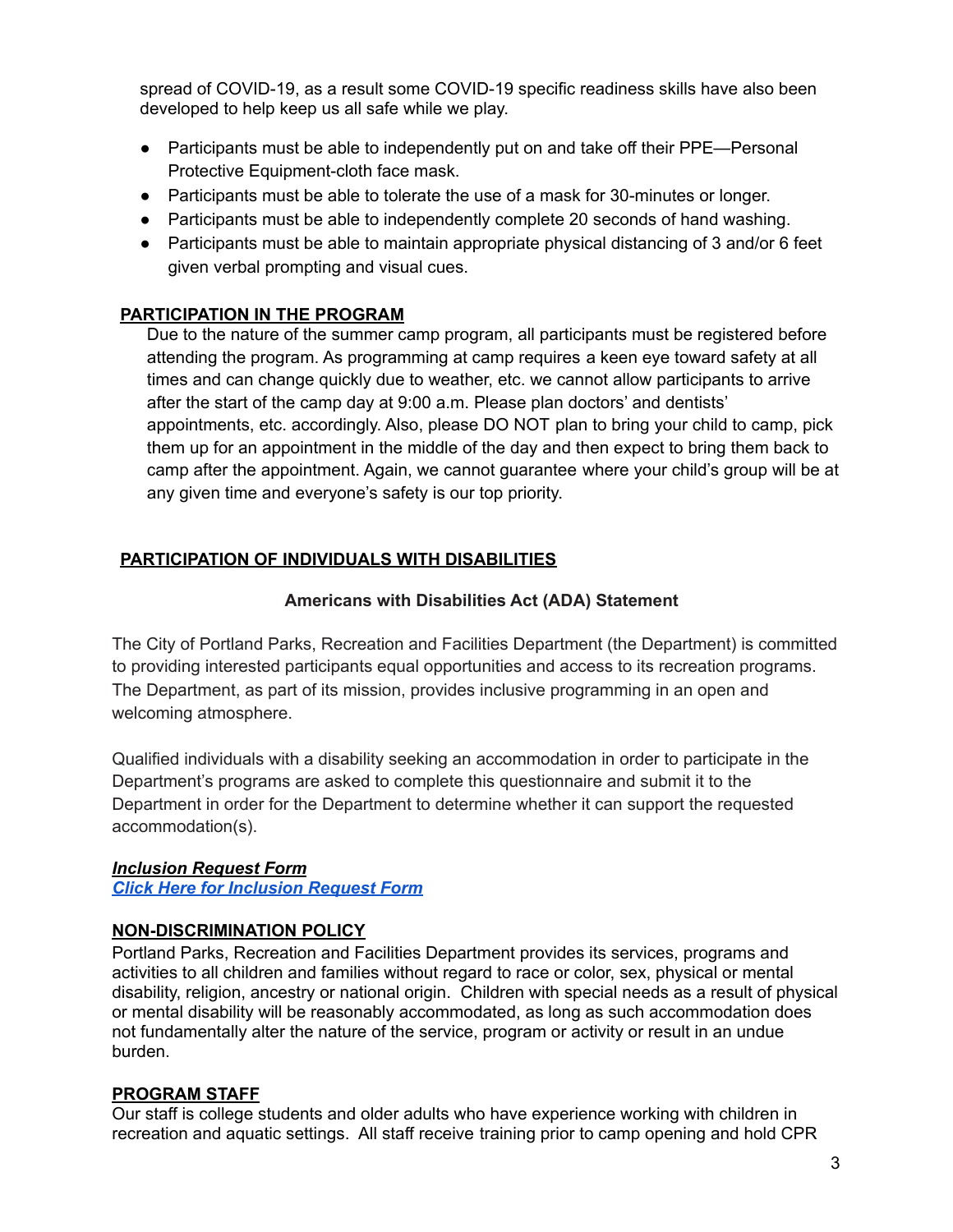spread of COVID-19, as a result some COVID-19 specific readiness skills have also been developed to help keep us all safe while we play.

- Participants must be able to independently put on and take off their PPE—Personal Protective Equipment-cloth face mask.
- Participants must be able to tolerate the use of a mask for 30-minutes or longer.
- Participants must be able to independently complete 20 seconds of hand washing.
- Participants must be able to maintain appropriate physical distancing of 3 and/or 6 feet given verbal prompting and visual cues.

## **PARTICIPATION IN THE PROGRAM**

Due to the nature of the summer camp program, all participants must be registered before attending the program. As programming at camp requires a keen eye toward safety at all times and can change quickly due to weather, etc. we cannot allow participants to arrive after the start of the camp day at 9:00 a.m. Please plan doctors' and dentists' appointments, etc. accordingly. Also, please DO NOT plan to bring your child to camp, pick them up for an appointment in the middle of the day and then expect to bring them back to camp after the appointment. Again, we cannot guarantee where your child's group will be at any given time and everyone's safety is our top priority.

## **PARTICIPATION OF INDIVIDUALS WITH DISABILITIES**

### **Americans with Disabilities Act (ADA) Statement**

The City of Portland Parks, Recreation and Facilities Department (the Department) is committed to providing interested participants equal opportunities and access to its recreation programs. The Department, as part of its mission, provides inclusive programming in an open and welcoming atmosphere.

Qualified individuals with a disability seeking an accommodation in order to participate in the Department's programs are asked to complete this questionnaire and submit it to the Department in order for the Department to determine whether it can support the requested accommodation(s).

### *Inclusion Request Form*

*Click Here for [Inclusion](http://www.portlandmaine.gov/DocumentCenter/View/28248/Inclusion-Request-Form-?bidId=) Request Form*

### **NON-DISCRIMINATION POLICY**

Portland Parks, Recreation and Facilities Department provides its services, programs and activities to all children and families without regard to race or color, sex, physical or mental disability, religion, ancestry or national origin. Children with special needs as a result of physical or mental disability will be reasonably accommodated, as long as such accommodation does not fundamentally alter the nature of the service, program or activity or result in an undue burden.

### **PROGRAM STAFF**

Our staff is college students and older adults who have experience working with children in recreation and aquatic settings. All staff receive training prior to camp opening and hold CPR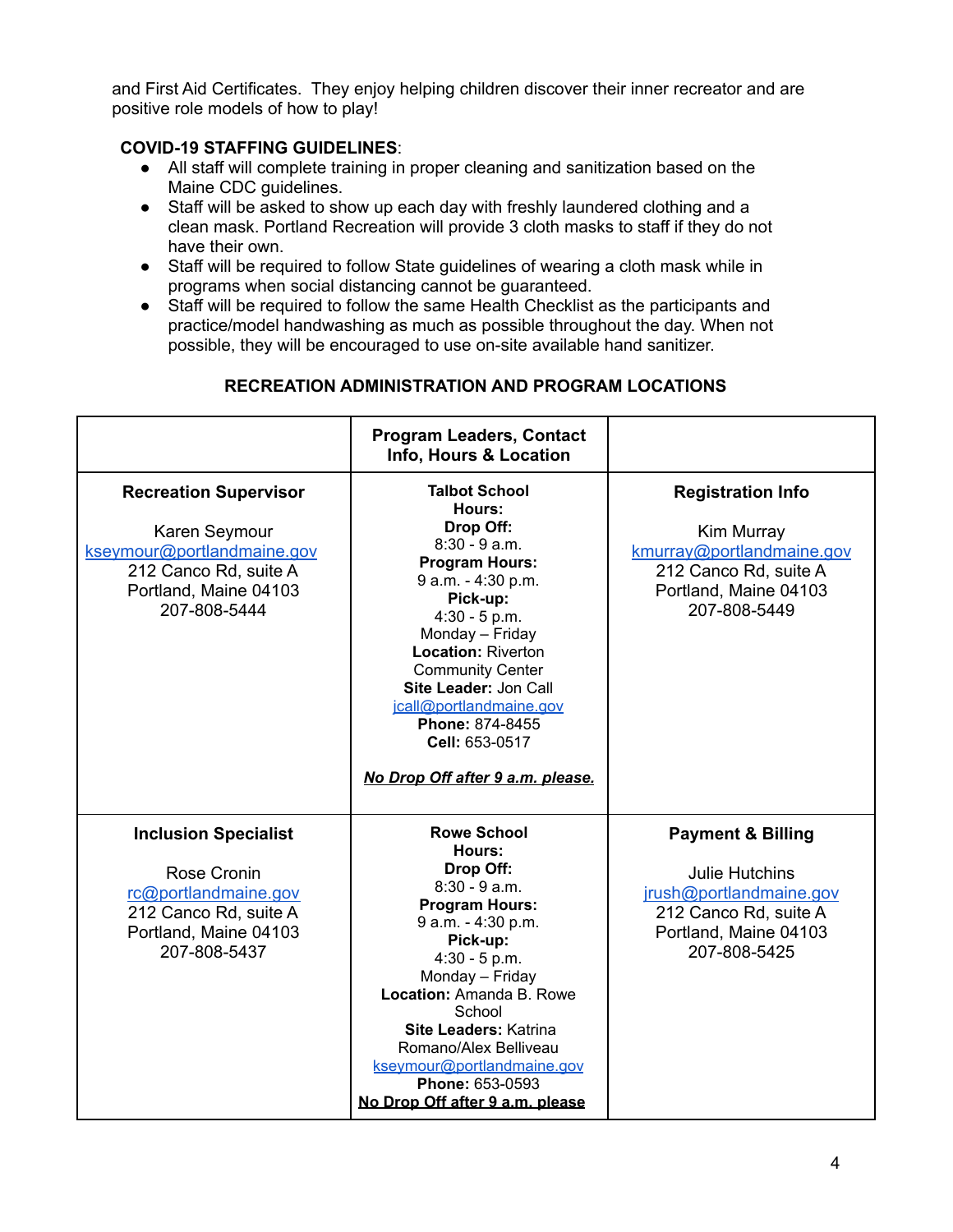and First Aid Certificates. They enjoy helping children discover their inner recreator and are positive role models of how to play!

#### **COVID-19 STAFFING GUIDELINES**:

- All staff will complete training in proper cleaning and sanitization based on the Maine CDC guidelines.
- Staff will be asked to show up each day with freshly laundered clothing and a clean mask. Portland Recreation will provide 3 cloth masks to staff if they do not have their own.
- Staff will be required to follow State guidelines of wearing a cloth mask while in programs when social distancing cannot be guaranteed.
- Staff will be required to follow the same Health Checklist as the participants and practice/model handwashing as much as possible throughout the day. When not possible, they will be encouraged to use on-site available hand sanitizer.

### **RECREATION ADMINISTRATION AND PROGRAM LOCATIONS**

|                                                                                                                                               | <b>Program Leaders, Contact</b><br>Info, Hours & Location                                                                                                                                                                                                                                                                                            |                                                                                                                                                    |
|-----------------------------------------------------------------------------------------------------------------------------------------------|------------------------------------------------------------------------------------------------------------------------------------------------------------------------------------------------------------------------------------------------------------------------------------------------------------------------------------------------------|----------------------------------------------------------------------------------------------------------------------------------------------------|
| <b>Recreation Supervisor</b><br>Karen Seymour<br>kseymour@portlandmaine.gov<br>212 Canco Rd, suite A<br>Portland, Maine 04103<br>207-808-5444 | <b>Talbot School</b><br>Hours:<br>Drop Off:<br>$8:30 - 9$ a.m.<br><b>Program Hours:</b><br>9 a.m. - 4:30 p.m.<br>Pick-up:<br>$4:30 - 5 p.m.$<br>Monday - Friday<br><b>Location: Riverton</b><br><b>Community Center</b><br>Site Leader: Jon Call<br>jcall@portlandmaine.gov<br>Phone: 874-8455<br>Cell: 653-0517<br>No Drop Off after 9 a.m. please. | <b>Registration Info</b><br>Kim Murray<br>kmurray@portlandmaine.gov<br>212 Canco Rd, suite A<br>Portland, Maine 04103<br>207-808-5449              |
| <b>Inclusion Specialist</b><br>Rose Cronin<br>rc@portlandmaine.gov<br>212 Canco Rd, suite A<br>Portland, Maine 04103<br>207-808-5437          | <b>Rowe School</b><br>Hours:<br>Drop Off:<br>$8:30 - 9$ a.m.<br><b>Program Hours:</b><br>9 a.m. - 4:30 p.m.<br>Pick-up:<br>$4:30 - 5 p.m.$<br>Monday - Friday<br>Location: Amanda B. Rowe<br>School<br><b>Site Leaders: Katrina</b><br>Romano/Alex Belliveau<br>kseymour@portlandmaine.gov<br>Phone: 653-0593<br>No Drop Off after 9 a.m. please     | <b>Payment &amp; Billing</b><br><b>Julie Hutchins</b><br>jrush@portlandmaine.gov<br>212 Canco Rd, suite A<br>Portland, Maine 04103<br>207-808-5425 |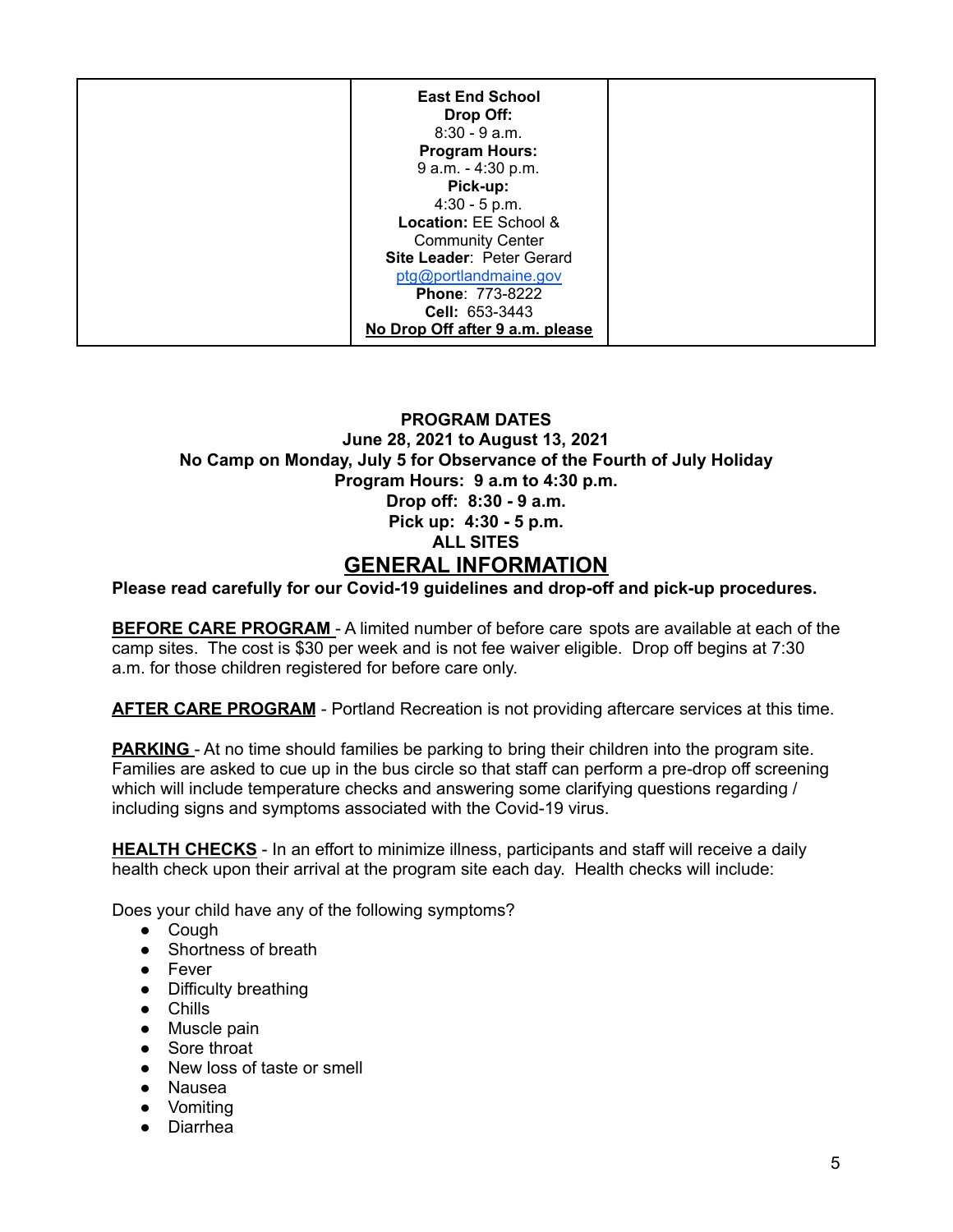| <b>East End School</b><br>Drop Off: |  |
|-------------------------------------|--|
| $8:30 - 9$ a.m.                     |  |
| <b>Program Hours:</b>               |  |
| 9 a.m. - 4:30 p.m.                  |  |
| Pick-up:                            |  |
| $4:30 - 5 p.m.$                     |  |
| Location: EE School &               |  |
| <b>Community Center</b>             |  |
| Site Leader: Peter Gerard           |  |
| ptg@portlandmaine.gov               |  |
| Phone: 773-8222                     |  |
| Cell: 653-3443                      |  |
| No Drop Off after 9 a.m. please     |  |

### **PROGRAM DATES June 28, 2021 to August 13, 2021 No Camp on Monday, July 5 for Observance of the Fourth of July Holiday Program Hours: 9 a.m to 4:30 p.m. Drop off: 8:30 - 9 a.m. Pick up: 4:30 - 5 p.m. ALL SITES GENERAL INFORMATION**

**Please read carefully for our Covid-19 guidelines and drop-off and pick-up procedures.**

**BEFORE CARE PROGRAM** - A limited number of before care spots are available at each of the camp sites. The cost is \$30 per week and is not fee waiver eligible. Drop off begins at 7:30 a.m. for those children registered for before care only.

**AFTER CARE PROGRAM** - Portland Recreation is not providing aftercare services at this time.

**PARKING** - At no time should families be parking to bring their children into the program site. Families are asked to cue up in the bus circle so that staff can perform a pre-drop off screening which will include temperature checks and answering some clarifying questions regarding / including signs and symptoms associated with the Covid-19 virus.

**HEALTH CHECKS** - In an effort to minimize illness, participants and staff will receive a daily health check upon their arrival at the program site each day. Health checks will include:

Does your child have any of the following symptoms?

- Cough
- Shortness of breath
- Fever
- Difficulty breathing
- Chills
- Muscle pain
- Sore throat
- New loss of taste or smell
- Nausea
- Vomiting
- Diarrhea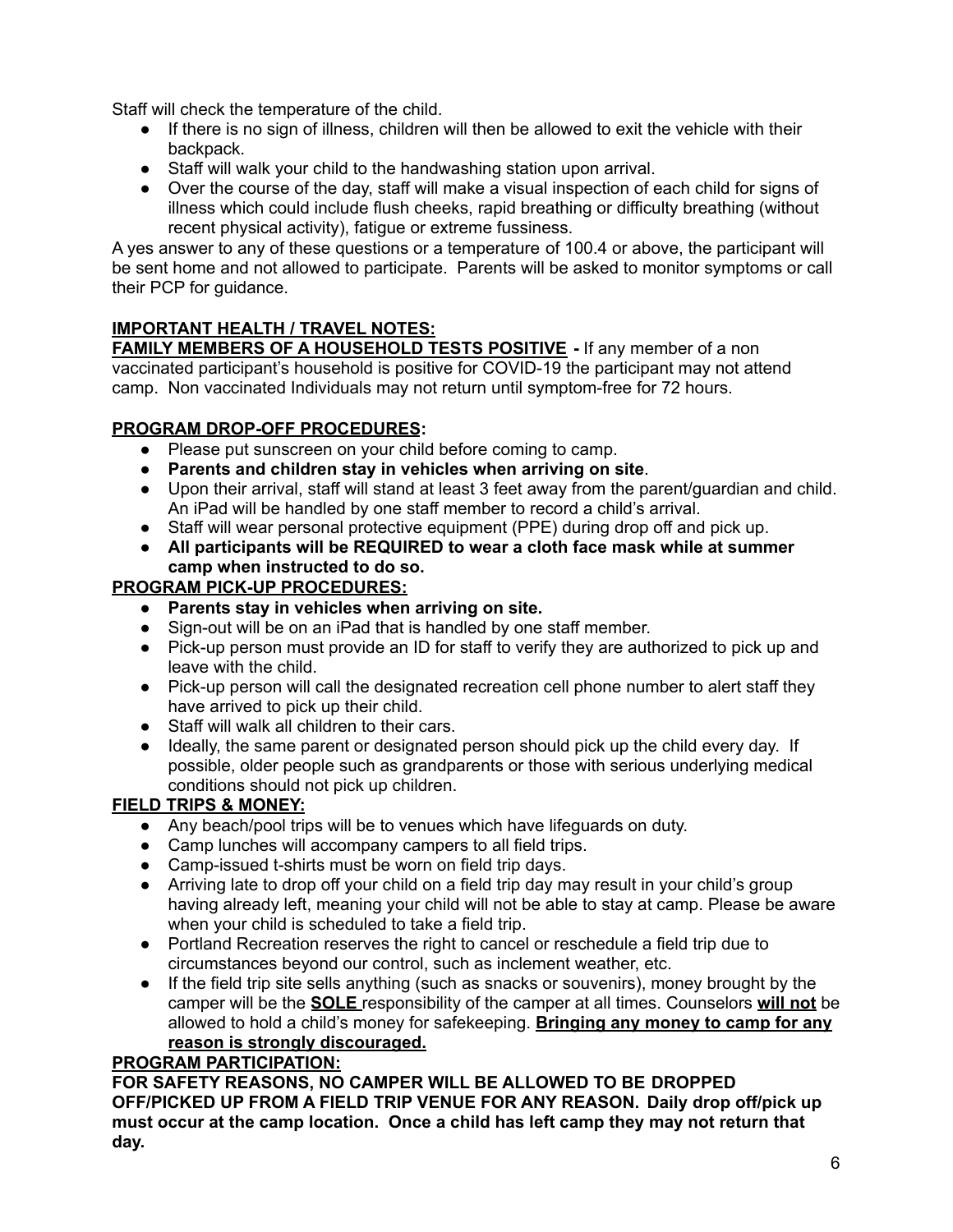Staff will check the temperature of the child.

- If there is no sign of illness, children will then be allowed to exit the vehicle with their backpack.
- Staff will walk your child to the handwashing station upon arrival.
- Over the course of the day, staff will make a visual inspection of each child for signs of illness which could include flush cheeks, rapid breathing or difficulty breathing (without recent physical activity), fatigue or extreme fussiness.

A yes answer to any of these questions or a temperature of 100.4 or above, the participant will be sent home and not allowed to participate. Parents will be asked to monitor symptoms or call their PCP for guidance.

### **IMPORTANT HEALTH / TRAVEL NOTES:**

**FAMILY MEMBERS OF A HOUSEHOLD TESTS POSITIVE -** If any member of a non vaccinated participant's household is positive for COVID-19 the participant may not attend camp. Non vaccinated Individuals may not return until symptom-free for 72 hours.

### **PROGRAM DROP-OFF PROCEDURES:**

- Please put sunscreen on your child before coming to camp.
- **Parents and children stay in vehicles when arriving on site**.
- Upon their arrival, staff will stand at least 3 feet away from the parent/guardian and child. An iPad will be handled by one staff member to record a child's arrival.
- Staff will wear personal protective equipment (PPE) during drop off and pick up.
- **● All participants will be REQUIRED to wear a cloth face mask while at summer camp when instructed to do so.**

#### **PROGRAM PICK-UP PROCEDURES:**

- **● Parents stay in vehicles when arriving on site.**
- Sign-out will be on an iPad that is handled by one staff member.
- Pick-up person must provide an ID for staff to verify they are authorized to pick up and leave with the child.
- Pick-up person will call the designated recreation cell phone number to alert staff they have arrived to pick up their child.
- Staff will walk all children to their cars.
- Ideally, the same parent or designated person should pick up the child every day. If possible, older people such as grandparents or those with serious underlying medical conditions should not pick up children.

### **FIELD TRIPS & MONEY:**

- Any beach/pool trips will be to venues which have lifeguards on duty.
- Camp lunches will accompany campers to all field trips.
- Camp-issued t-shirts must be worn on field trip days.
- Arriving late to drop off your child on a field trip day may result in your child's group having already left, meaning your child will not be able to stay at camp. Please be aware when your child is scheduled to take a field trip.
- Portland Recreation reserves the right to cancel or reschedule a field trip due to circumstances beyond our control, such as inclement weather, etc.
- If the field trip site sells anything (such as snacks or souvenirs), money brought by the camper will be the **SOLE** responsibility of the camper at all times. Counselors **will not** be allowed to hold a child's money for safekeeping. **Bringing any money to camp for any reason is strongly discouraged.**

#### **PROGRAM PARTICIPATION:**

**FOR SAFETY REASONS, NO CAMPER WILL BE ALLOWED TO BE DROPPED OFF/PICKED UP FROM A FIELD TRIP VENUE FOR ANY REASON. Daily drop off/pick up must occur at the camp location. Once a child has left camp they may not return that day.**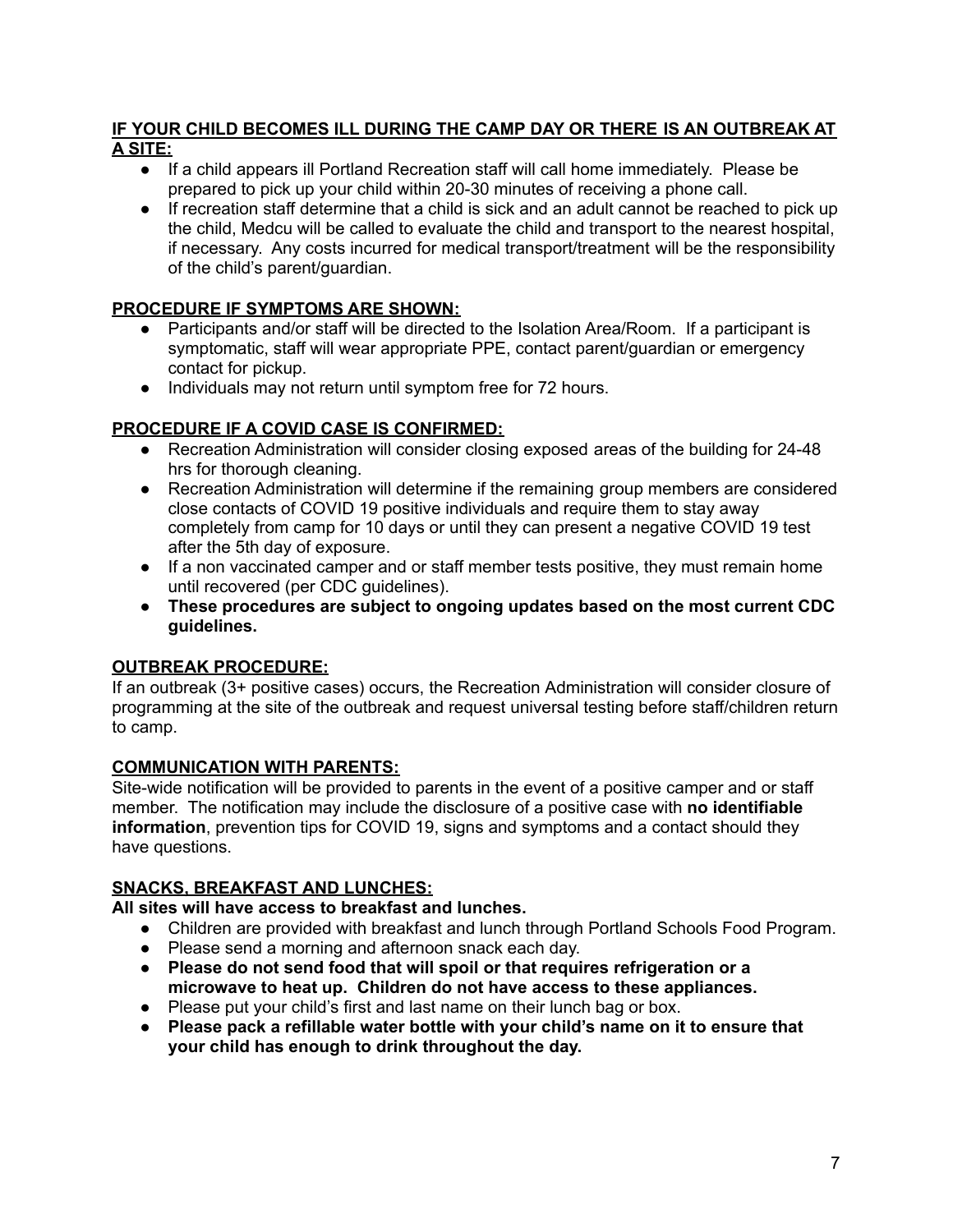#### **IF YOUR CHILD BECOMES ILL DURING THE CAMP DAY OR THERE IS AN OUTBREAK AT A SITE:**

- If a child appears ill Portland Recreation staff will call home immediately. Please be prepared to pick up your child within 20-30 minutes of receiving a phone call.
- If recreation staff determine that a child is sick and an adult cannot be reached to pick up the child, Medcu will be called to evaluate the child and transport to the nearest hospital, if necessary. Any costs incurred for medical transport/treatment will be the responsibility of the child's parent/guardian.

#### **PROCEDURE IF SYMPTOMS ARE SHOWN:**

- Participants and/or staff will be directed to the Isolation Area/Room. If a participant is symptomatic, staff will wear appropriate PPE, contact parent/guardian or emergency contact for pickup.
- Individuals may not return until symptom free for 72 hours.

### **PROCEDURE IF A COVID CASE IS CONFIRMED:**

- Recreation Administration will consider closing exposed areas of the building for 24-48 hrs for thorough cleaning.
- Recreation Administration will determine if the remaining group members are considered close contacts of COVID 19 positive individuals and require them to stay away completely from camp for 10 days or until they can present a negative COVID 19 test after the 5th day of exposure.
- If a non vaccinated camper and or staff member tests positive, they must remain home until recovered (per CDC guidelines).
- **● These procedures are subject to ongoing updates based on the most current CDC guidelines.**

### **OUTBREAK PROCEDURE:**

If an outbreak (3+ positive cases) occurs, the Recreation Administration will consider closure of programming at the site of the outbreak and request universal testing before staff/children return to camp.

### **COMMUNICATION WITH PARENTS:**

Site-wide notification will be provided to parents in the event of a positive camper and or staff member. The notification may include the disclosure of a positive case with **no identifiable information**, prevention tips for COVID 19, signs and symptoms and a contact should they have questions.

### **SNACKS, BREAKFAST AND LUNCHES:**

**All sites will have access to breakfast and lunches.**

- Children are provided with breakfast and lunch through Portland Schools Food Program.
- Please send a morning and afternoon snack each day.
- **● Please do not send food that will spoil or that requires refrigeration or a microwave to heat up. Children do not have access to these appliances.**
- Please put your child's first and last name on their lunch bag or box.
- **● Please pack a refillable water bottle with your child's name on it to ensure that your child has enough to drink throughout the day.**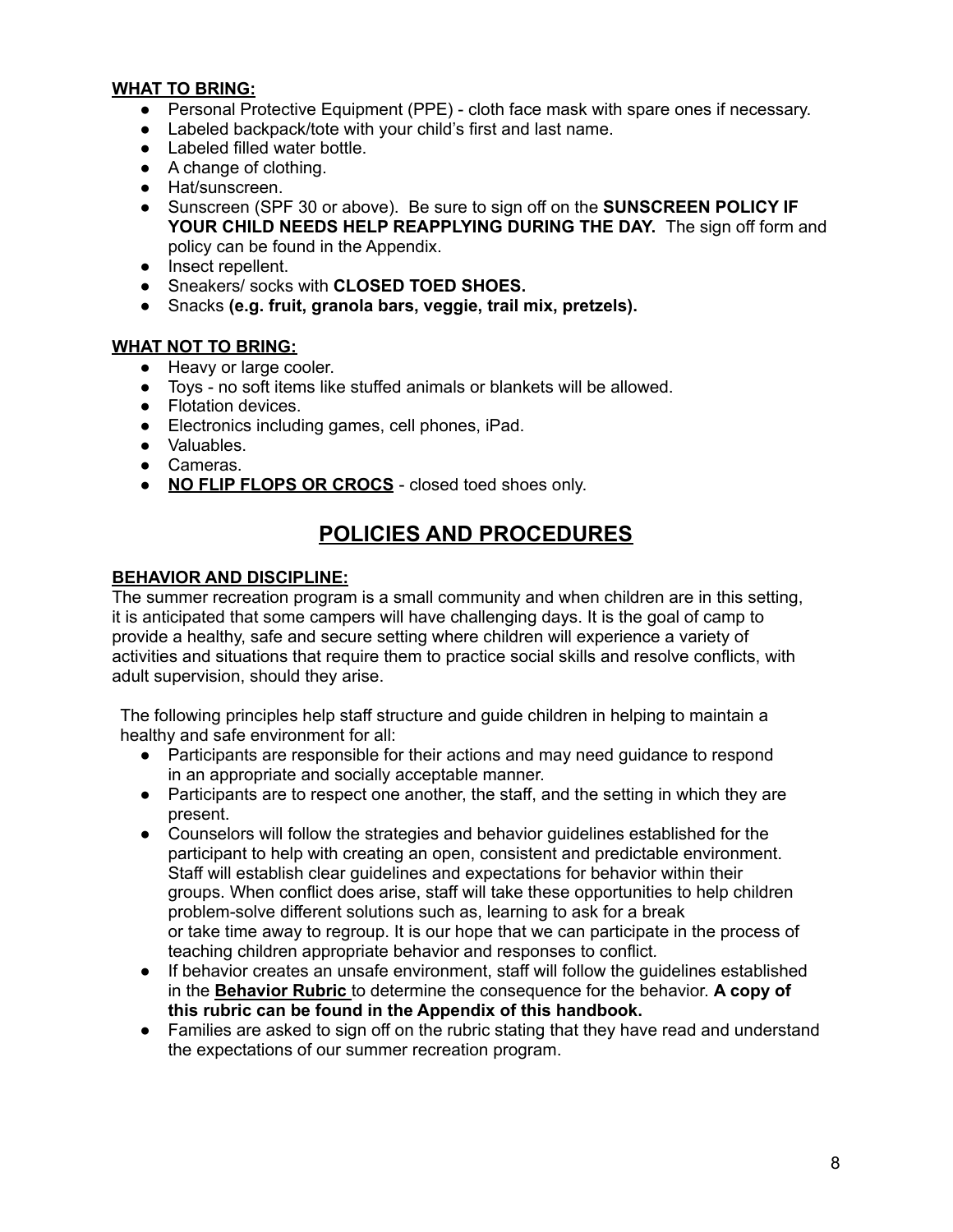#### **WHAT TO BRING:**

- Personal Protective Equipment (PPE) cloth face mask with spare ones if necessary.
- Labeled backpack/tote with your child's first and last name.
- Labeled filled water bottle.
- A change of clothing.
- Hat/sunscreen.
- Sunscreen (SPF 30 or above). Be sure to sign off on the **SUNSCREEN POLICY IF YOUR CHILD NEEDS HELP REAPPLYING DURING THE DAY.** The sign off form and policy can be found in the Appendix.
- Insect repellent.
- Sneakers/ socks with **CLOSED TOED SHOES.**
- Snacks **(e.g. fruit, granola bars, veggie, trail mix, pretzels).**

#### **WHAT NOT TO BRING:**

- Heavy or large cooler.
- Toys no soft items like stuffed animals or blankets will be allowed.
- Flotation devices.
- Electronics including games, cell phones, iPad.
- Valuables.
- Cameras.
- **NO FLIP FLOPS OR CROCS** closed toed shoes only.

## **POLICIES AND PROCEDURES**

#### **BEHAVIOR AND DISCIPLINE:**

The summer recreation program is a small community and when children are in this setting, it is anticipated that some campers will have challenging days. It is the goal of camp to provide a healthy, safe and secure setting where children will experience a variety of activities and situations that require them to practice social skills and resolve conflicts, with adult supervision, should they arise.

The following principles help staff structure and guide children in helping to maintain a healthy and safe environment for all:

- Participants are responsible for their actions and may need guidance to respond in an appropriate and socially acceptable manner.
- Participants are to respect one another, the staff, and the setting in which they are present.
- Counselors will follow the strategies and behavior guidelines established for the participant to help with creating an open, consistent and predictable environment. Staff will establish clear guidelines and expectations for behavior within their groups. When conflict does arise, staff will take these opportunities to help children problem-solve different solutions such as, learning to ask for a break or take time away to regroup. It is our hope that we can participate in the process of teaching children appropriate behavior and responses to conflict*.*
- If behavior creates an unsafe environment, staff will follow the guidelines established in the **Behavior Rubric** to determine the consequence for the behavior. **A copy of this rubric can be found in the Appendix of this handbook.**
- Families are asked to sign off on the rubric stating that they have read and understand the expectations of our summer recreation program.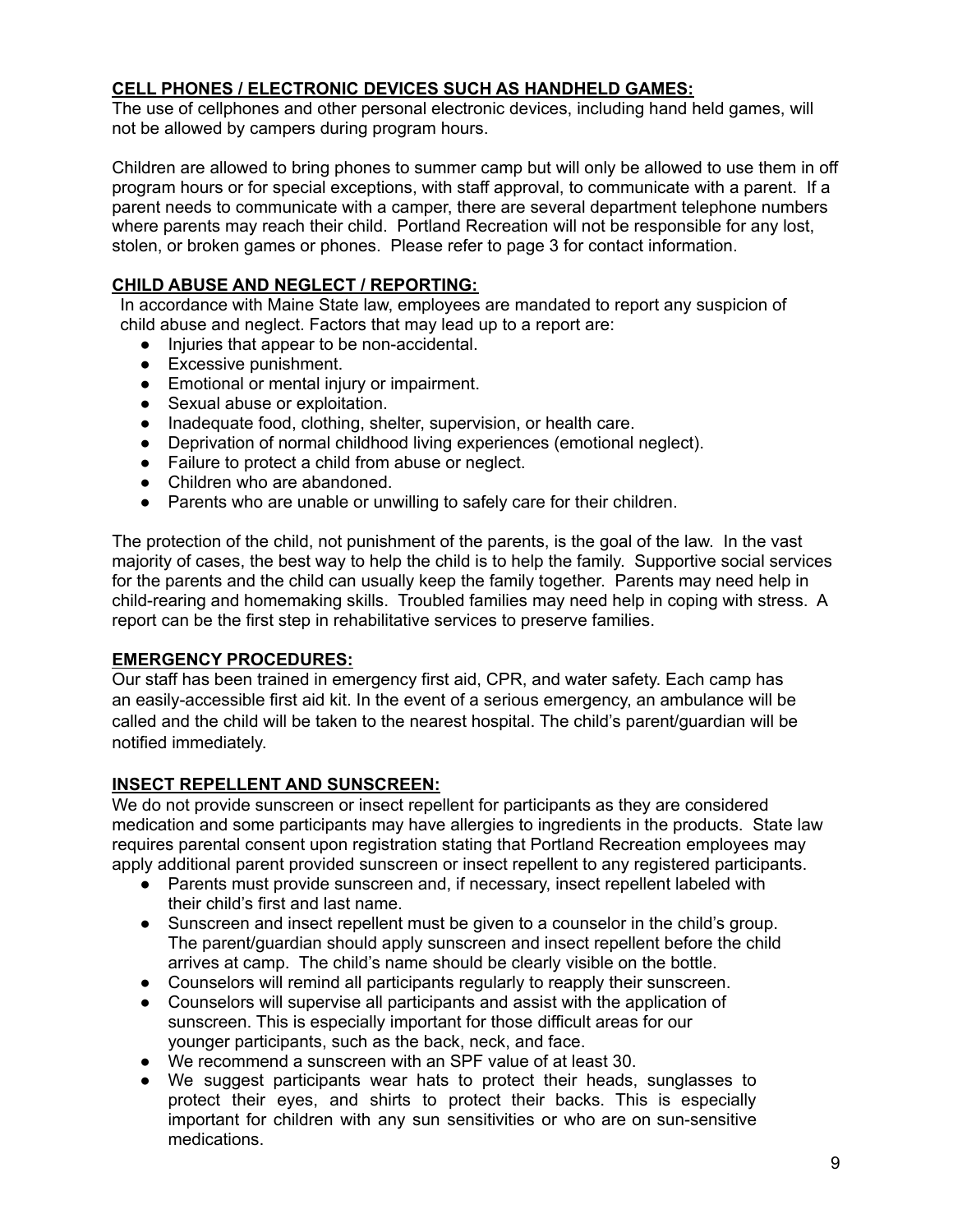#### **CELL PHONES / ELECTRONIC DEVICES SUCH AS HANDHELD GAMES:**

The use of cellphones and other personal electronic devices, including hand held games, will not be allowed by campers during program hours.

Children are allowed to bring phones to summer camp but will only be allowed to use them in off program hours or for special exceptions, with staff approval, to communicate with a parent. If a parent needs to communicate with a camper, there are several department telephone numbers where parents may reach their child. Portland Recreation will not be responsible for any lost, stolen, or broken games or phones. Please refer to page 3 for contact information.

#### **CHILD ABUSE AND NEGLECT / REPORTING:**

In accordance with Maine State law, employees are mandated to report any suspicion of child abuse and neglect. Factors that may lead up to a report are:

- Injuries that appear to be non-accidental.
- Excessive punishment.
- Emotional or mental injury or impairment.
- Sexual abuse or exploitation.
- Inadequate food, clothing, shelter, supervision, or health care.
- Deprivation of normal childhood living experiences (emotional neglect).
- Failure to protect a child from abuse or neglect.
- Children who are abandoned.
- Parents who are unable or unwilling to safely care for their children.

The protection of the child, not punishment of the parents, is the goal of the law. In the vast majority of cases, the best way to help the child is to help the family. Supportive social services for the parents and the child can usually keep the family together. Parents may need help in child-rearing and homemaking skills. Troubled families may need help in coping with stress. A report can be the first step in rehabilitative services to preserve families.

#### **EMERGENCY PROCEDURES:**

Our staff has been trained in emergency first aid, CPR, and water safety. Each camp has an easily-accessible first aid kit. In the event of a serious emergency, an ambulance will be called and the child will be taken to the nearest hospital. The child's parent/guardian will be notified immediately.

#### **INSECT REPELLENT AND SUNSCREEN:**

We do not provide sunscreen or insect repellent for participants as they are considered medication and some participants may have allergies to ingredients in the products. State law requires parental consent upon registration stating that Portland Recreation employees may apply additional parent provided sunscreen or insect repellent to any registered participants.

- Parents must provide sunscreen and, if necessary, insect repellent labeled with their child's first and last name.
- Sunscreen and insect repellent must be given to a counselor in the child's group. The parent/guardian should apply sunscreen and insect repellent before the child arrives at camp. The child's name should be clearly visible on the bottle.
- Counselors will remind all participants regularly to reapply their sunscreen.
- Counselors will supervise all participants and assist with the application of sunscreen. This is especially important for those difficult areas for our younger participants, such as the back, neck, and face.
- We recommend a sunscreen with an SPF value of at least 30.
- We suggest participants wear hats to protect their heads, sunglasses to protect their eyes, and shirts to protect their backs. This is especially important for children with any sun sensitivities or who are on sun-sensitive medications.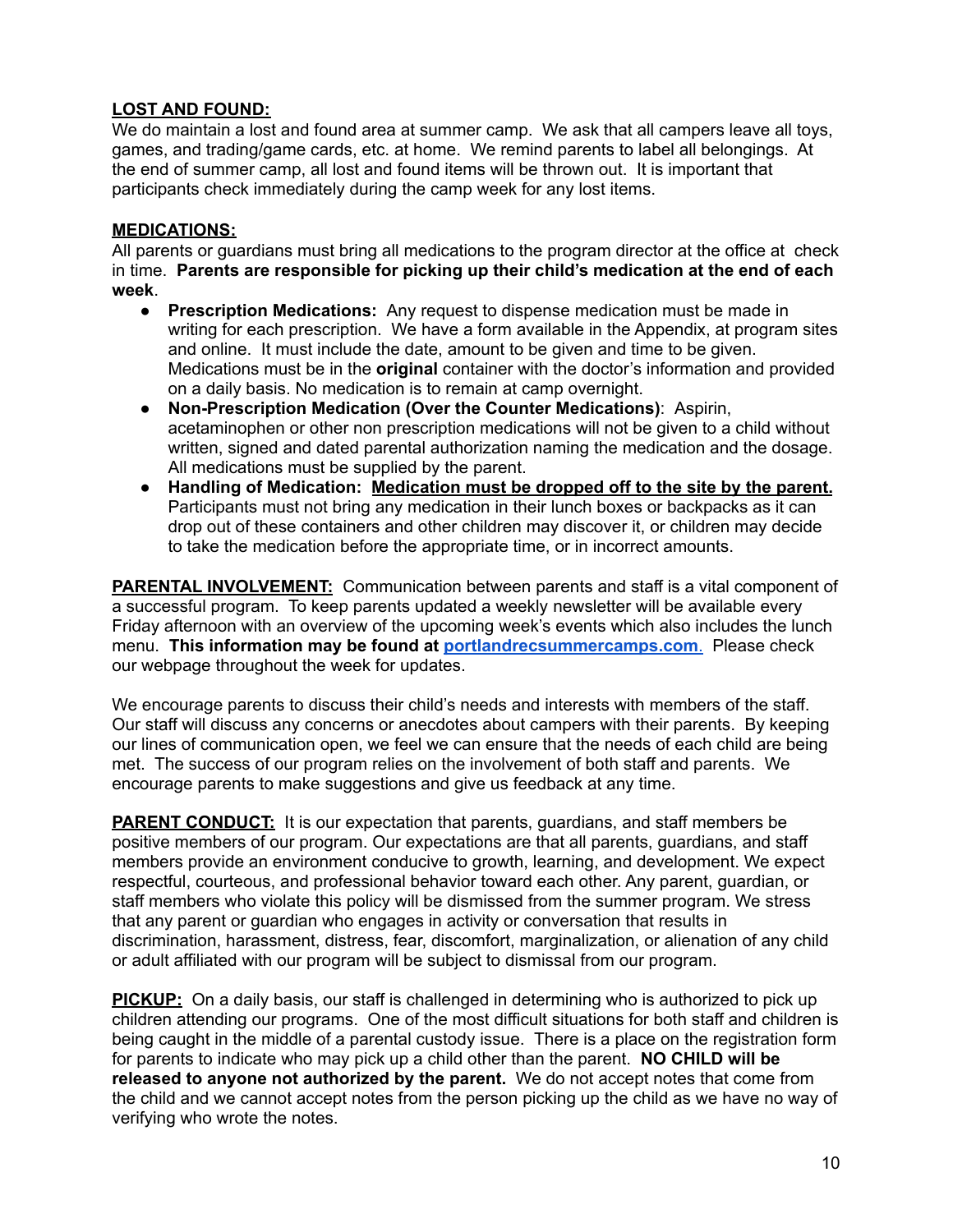#### **LOST AND FOUND:**

We do maintain a lost and found area at summer camp. We ask that all campers leave all toys, games, and trading/game cards, etc. at home. We remind parents to label all belongings. At the end of summer camp, all lost and found items will be thrown out. It is important that participants check immediately during the camp week for any lost items.

#### **MEDICATIONS:**

All parents or guardians must bring all medications to the program director at the office at check in time. **Parents are responsible for picking up their child's medication at the end of each week**.

- **Prescription Medications:** Any request to dispense medication must be made in writing for each prescription. We have a form available in the Appendix, at program sites and online. It must include the date, amount to be given and time to be given. Medications must be in the **original** container with the doctor's information and provided on a daily basis. No medication is to remain at camp overnight.
- **Non-Prescription Medication (Over the Counter Medications)**: Aspirin, acetaminophen or other non prescription medications will not be given to a child without written, signed and dated parental authorization naming the medication and the dosage. All medications must be supplied by the parent.
- **Handling of Medication: Medication must be dropped off to the site by the parent.** Participants must not bring any medication in their lunch boxes or backpacks as it can drop out of these containers and other children may discover it, or children may decide to take the medication before the appropriate time, or in incorrect amounts.

**PARENTAL INVOLVEMENT:** Communication between parents and staff is a vital component of a successful program. To keep parents updated a weekly newsletter will be available every Friday afternoon with an overview of the upcoming week's events which also includes the lunch menu. **This information may be found at [portlandrecsummercamps.com](http://portlandrecsummercamps.com/)**. Please check our webpage throughout the week for updates.

We encourage parents to discuss their child's needs and interests with members of the staff. Our staff will discuss any concerns or anecdotes about campers with their parents. By keeping our lines of communication open, we feel we can ensure that the needs of each child are being met. The success of our program relies on the involvement of both staff and parents. We encourage parents to make suggestions and give us feedback at any time.

**PARENT CONDUCT:** It is our expectation that parents, quardians, and staff members be positive members of our program. Our expectations are that all parents, guardians, and staff members provide an environment conducive to growth, learning, and development. We expect respectful, courteous, and professional behavior toward each other. Any parent, guardian, or staff members who violate this policy will be dismissed from the summer program. We stress that any parent or guardian who engages in activity or conversation that results in discrimination, harassment, distress, fear, discomfort, marginalization, or alienation of any child or adult affiliated with our program will be subject to dismissal from our program.

**PICKUP:** On a daily basis, our staff is challenged in determining who is authorized to pick up children attending our programs. One of the most difficult situations for both staff and children is being caught in the middle of a parental custody issue. There is a place on the registration form for parents to indicate who may pick up a child other than the parent. **NO CHILD will be released to anyone not authorized by the parent.** We do not accept notes that come from the child and we cannot accept notes from the person picking up the child as we have no way of verifying who wrote the notes.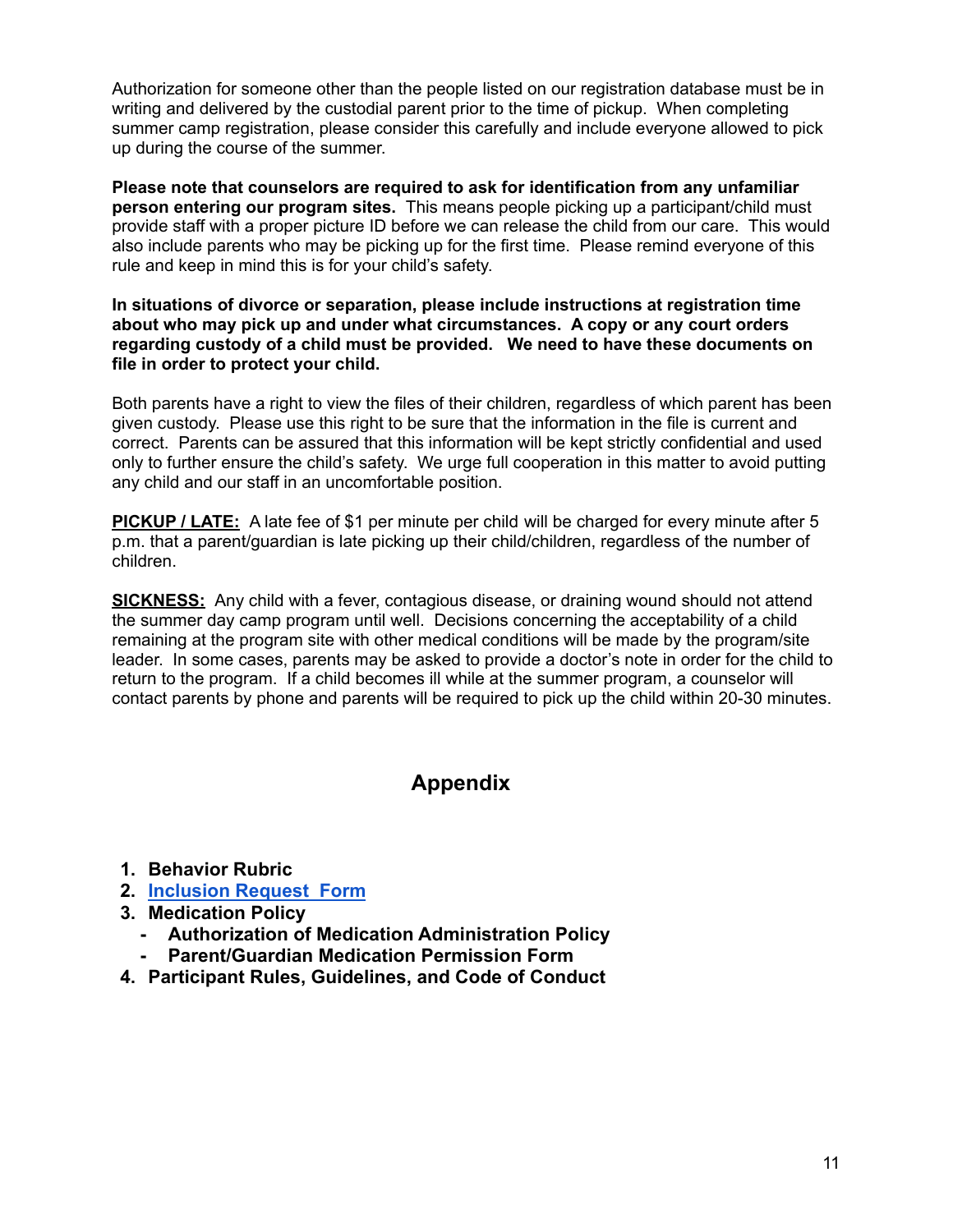Authorization for someone other than the people listed on our registration database must be in writing and delivered by the custodial parent prior to the time of pickup. When completing summer camp registration, please consider this carefully and include everyone allowed to pick up during the course of the summer.

**Please note that counselors are required to ask for identification from any unfamiliar person entering our program sites.** This means people picking up a participant/child must provide staff with a proper picture ID before we can release the child from our care. This would also include parents who may be picking up for the first time. Please remind everyone of this rule and keep in mind this is for your child's safety.

**In situations of divorce or separation, please include instructions at registration time about who may pick up and under what circumstances. A copy or any court orders regarding custody of a child must be provided. We need to have these documents on file in order to protect your child.**

Both parents have a right to view the files of their children, regardless of which parent has been given custody. Please use this right to be sure that the information in the file is current and correct. Parents can be assured that this information will be kept strictly confidential and used only to further ensure the child's safety. We urge full cooperation in this matter to avoid putting any child and our staff in an uncomfortable position.

**PICKUP / LATE:** A late fee of \$1 per minute per child will be charged for every minute after 5 p.m. that a parent/guardian is late picking up their child/children, regardless of the number of children.

**SICKNESS:** Any child with a fever, contagious disease, or draining wound should not attend the summer day camp program until well. Decisions concerning the acceptability of a child remaining at the program site with other medical conditions will be made by the program/site leader. In some cases, parents may be asked to provide a doctor's note in order for the child to return to the program. If a child becomes ill while at the summer program, a counselor will contact parents by phone and parents will be required to pick up the child within 20-30 minutes.

## **Appendix**

- **1. Behavior Rubric**
- **2. [Inclusion Request Form](http://www.portlandmaine.gov/DocumentCenter/View/28248/Inclusion-Request-Form-?bidId=)**
- **3. Medication Policy**
	- **- Authorization of Medication Administration Policy**
	- **- Parent/Guardian Medication Permission Form**
- **4. Participant Rules, Guidelines, and Code of Conduct**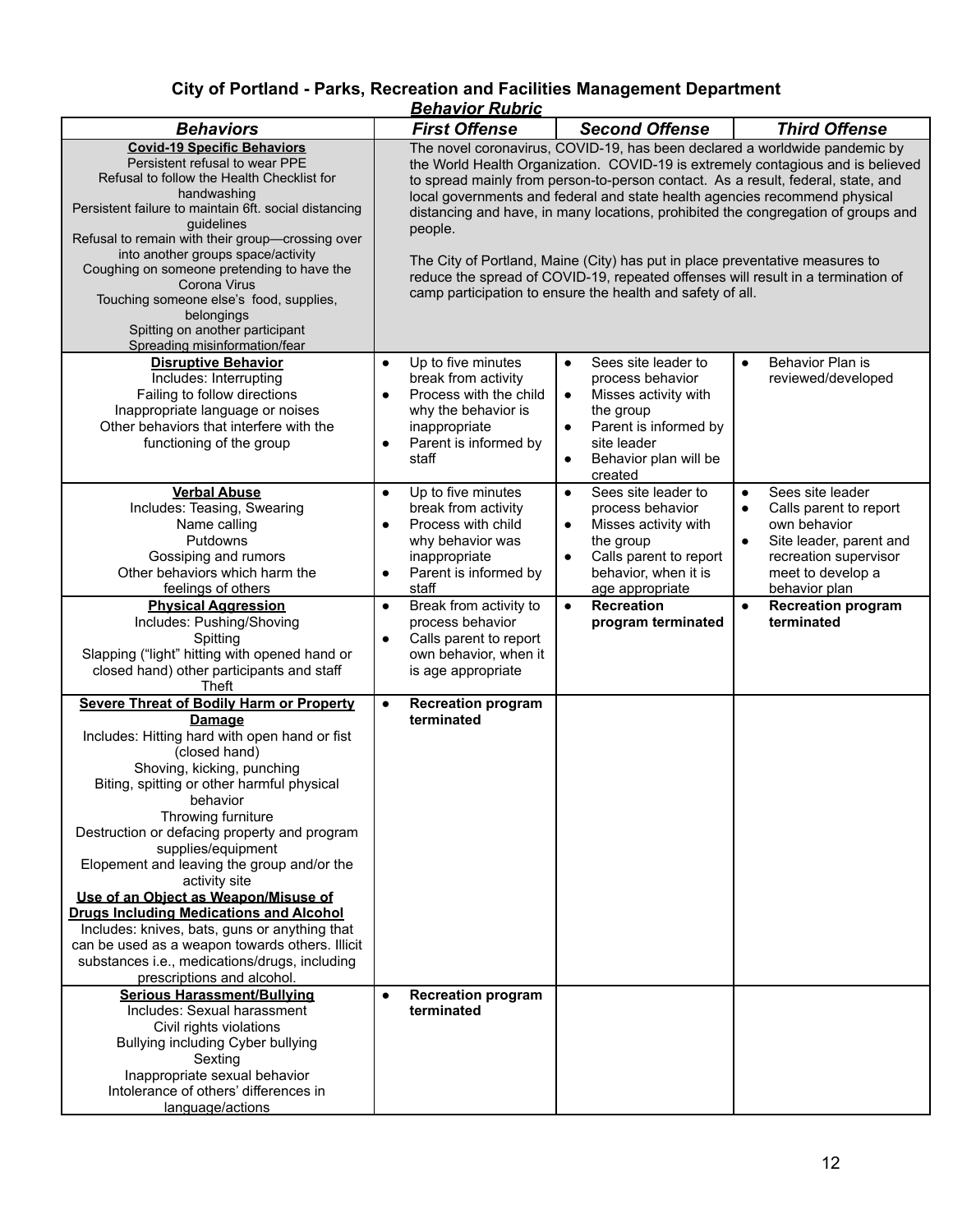#### **City of Portland - Parks, Recreation and Facilities Management Department** *Behavior Rubric*

|                                                                                                                                                                                                                                                                                                                                                                                                                                                                                                                                                                                                                                                             | <u>Denavioi Kubilu</u>                                                                                                                                                                                                                                                                                                                                                                                                                                                                                                                                                                                                                                            |                                                                                                                                                                                    |                                                                                                                                                                                |  |
|-------------------------------------------------------------------------------------------------------------------------------------------------------------------------------------------------------------------------------------------------------------------------------------------------------------------------------------------------------------------------------------------------------------------------------------------------------------------------------------------------------------------------------------------------------------------------------------------------------------------------------------------------------------|-------------------------------------------------------------------------------------------------------------------------------------------------------------------------------------------------------------------------------------------------------------------------------------------------------------------------------------------------------------------------------------------------------------------------------------------------------------------------------------------------------------------------------------------------------------------------------------------------------------------------------------------------------------------|------------------------------------------------------------------------------------------------------------------------------------------------------------------------------------|--------------------------------------------------------------------------------------------------------------------------------------------------------------------------------|--|
| <b>Behaviors</b>                                                                                                                                                                                                                                                                                                                                                                                                                                                                                                                                                                                                                                            | <b>First Offense</b>                                                                                                                                                                                                                                                                                                                                                                                                                                                                                                                                                                                                                                              | <b>Second Offense</b>                                                                                                                                                              | <b>Third Offense</b>                                                                                                                                                           |  |
| <b>Covid-19 Specific Behaviors</b><br>Persistent refusal to wear PPE<br>Refusal to follow the Health Checklist for<br>handwashing<br>Persistent failure to maintain 6ft. social distancing<br>guidelines<br>Refusal to remain with their group-crossing over<br>into another groups space/activity<br>Coughing on someone pretending to have the<br>Corona Virus<br>Touching someone else's food, supplies,<br>belongings<br>Spitting on another participant<br>Spreading misinformation/fear                                                                                                                                                               | The novel coronavirus, COVID-19, has been declared a worldwide pandemic by<br>the World Health Organization. COVID-19 is extremely contagious and is believed<br>to spread mainly from person-to-person contact. As a result, federal, state, and<br>local governments and federal and state health agencies recommend physical<br>distancing and have, in many locations, prohibited the congregation of groups and<br>people.<br>The City of Portland, Maine (City) has put in place preventative measures to<br>reduce the spread of COVID-19, repeated offenses will result in a termination of<br>camp participation to ensure the health and safety of all. |                                                                                                                                                                                    |                                                                                                                                                                                |  |
| <b>Disruptive Behavior</b><br>Includes: Interrupting<br>Failing to follow directions<br>Inappropriate language or noises<br>Other behaviors that interfere with the<br>functioning of the group                                                                                                                                                                                                                                                                                                                                                                                                                                                             | Up to five minutes<br>$\bullet$<br>break from activity<br>Process with the child<br>$\bullet$<br>why the behavior is<br>inappropriate<br>Parent is informed by<br>$\bullet$<br>staff                                                                                                                                                                                                                                                                                                                                                                                                                                                                              | Sees site leader to<br>$\bullet$<br>process behavior<br>Misses activity with<br>$\bullet$<br>the group<br>Parent is informed by<br>site leader<br>Behavior plan will be<br>created | Behavior Plan is<br>$\bullet$<br>reviewed/developed                                                                                                                            |  |
| <b>Verbal Abuse</b><br>Includes: Teasing, Swearing<br>Name calling<br>Putdowns<br>Gossiping and rumors<br>Other behaviors which harm the<br>feelings of others                                                                                                                                                                                                                                                                                                                                                                                                                                                                                              | Up to five minutes<br>$\bullet$<br>break from activity<br>Process with child<br>$\bullet$<br>why behavior was<br>inappropriate<br>Parent is informed by<br>$\bullet$<br>staff                                                                                                                                                                                                                                                                                                                                                                                                                                                                                     | Sees site leader to<br>$\bullet$<br>process behavior<br>Misses activity with<br>$\bullet$<br>the group<br>Calls parent to report<br>behavior, when it is<br>age appropriate        | Sees site leader<br>$\bullet$<br>Calls parent to report<br>$\bullet$<br>own behavior<br>Site leader, parent and<br>recreation supervisor<br>meet to develop a<br>behavior plan |  |
| <b>Physical Aggression</b><br>Includes: Pushing/Shoving<br>Spitting<br>Slapping ("light" hitting with opened hand or<br>closed hand) other participants and staff<br>Theft                                                                                                                                                                                                                                                                                                                                                                                                                                                                                  | Break from activity to<br>$\bullet$<br>process behavior<br>Calls parent to report<br>$\bullet$<br>own behavior, when it<br>is age appropriate                                                                                                                                                                                                                                                                                                                                                                                                                                                                                                                     | <b>Recreation</b><br>$\bullet$<br>program terminated                                                                                                                               | <b>Recreation program</b><br>terminated                                                                                                                                        |  |
| <b>Severe Threat of Bodily Harm or Property</b><br>Damage<br>Includes: Hitting hard with open hand or fist<br>(closed hand)<br>Shoving, kicking, punching<br>Biting, spitting or other harmful physical<br>behavior<br>Throwing furniture<br>Destruction or defacing property and program<br>supplies/equipment<br>Elopement and leaving the group and/or the<br>activity site<br>Use of an Object as Weapon/Misuse of<br><b>Drugs Including Medications and Alcohol</b><br>Includes: knives, bats, guns or anything that<br>can be used as a weapon towards others. Illicit<br>substances i.e., medications/drugs, including<br>prescriptions and alcohol. | <b>Recreation program</b><br>$\bullet$<br>terminated                                                                                                                                                                                                                                                                                                                                                                                                                                                                                                                                                                                                              |                                                                                                                                                                                    |                                                                                                                                                                                |  |
| <b>Serious Harassment/Bullying</b><br>Includes: Sexual harassment<br>Civil rights violations<br>Bullying including Cyber bullying<br>Sexting<br>Inappropriate sexual behavior<br>Intolerance of others' differences in<br>language/actions                                                                                                                                                                                                                                                                                                                                                                                                                  | <b>Recreation program</b><br>$\bullet$<br>terminated                                                                                                                                                                                                                                                                                                                                                                                                                                                                                                                                                                                                              |                                                                                                                                                                                    |                                                                                                                                                                                |  |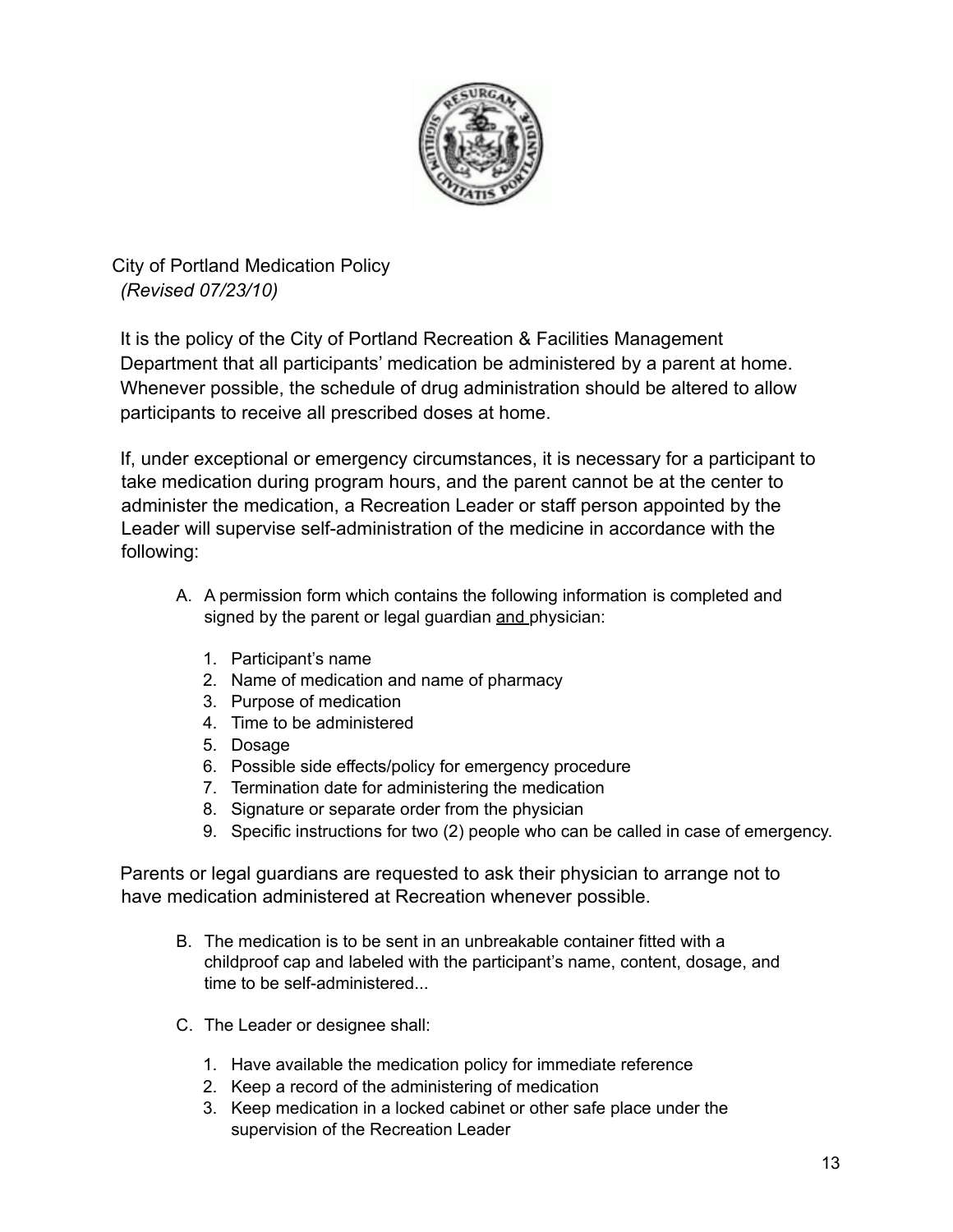

City of Portland Medication Policy *(Revised 07/23/10)*

It is the policy of the City of Portland Recreation & Facilities Management Department that all participants' medication be administered by a parent at home. Whenever possible, the schedule of drug administration should be altered to allow participants to receive all prescribed doses at home.

If, under exceptional or emergency circumstances, it is necessary for a participant to take medication during program hours, and the parent cannot be at the center to administer the medication, a Recreation Leader or staff person appointed by the Leader will supervise self-administration of the medicine in accordance with the following:

- A. A permission form which contains the following information is completed and signed by the parent or legal guardian and physician:
	- 1. Participant's name
	- 2. Name of medication and name of pharmacy
	- 3. Purpose of medication
	- 4. Time to be administered
	- 5. Dosage
	- 6. Possible side effects/policy for emergency procedure
	- 7. Termination date for administering the medication
	- 8. Signature or separate order from the physician
	- 9. Specific instructions for two (2) people who can be called in case of emergency.

Parents or legal guardians are requested to ask their physician to arrange not to have medication administered at Recreation whenever possible.

- B. The medication is to be sent in an unbreakable container fitted with a childproof cap and labeled with the participant's name, content, dosage, and time to be self-administered.
- C. The Leader or designee shall:
	- 1. Have available the medication policy for immediate reference
	- 2. Keep a record of the administering of medication
	- 3. Keep medication in a locked cabinet or other safe place under the supervision of the Recreation Leader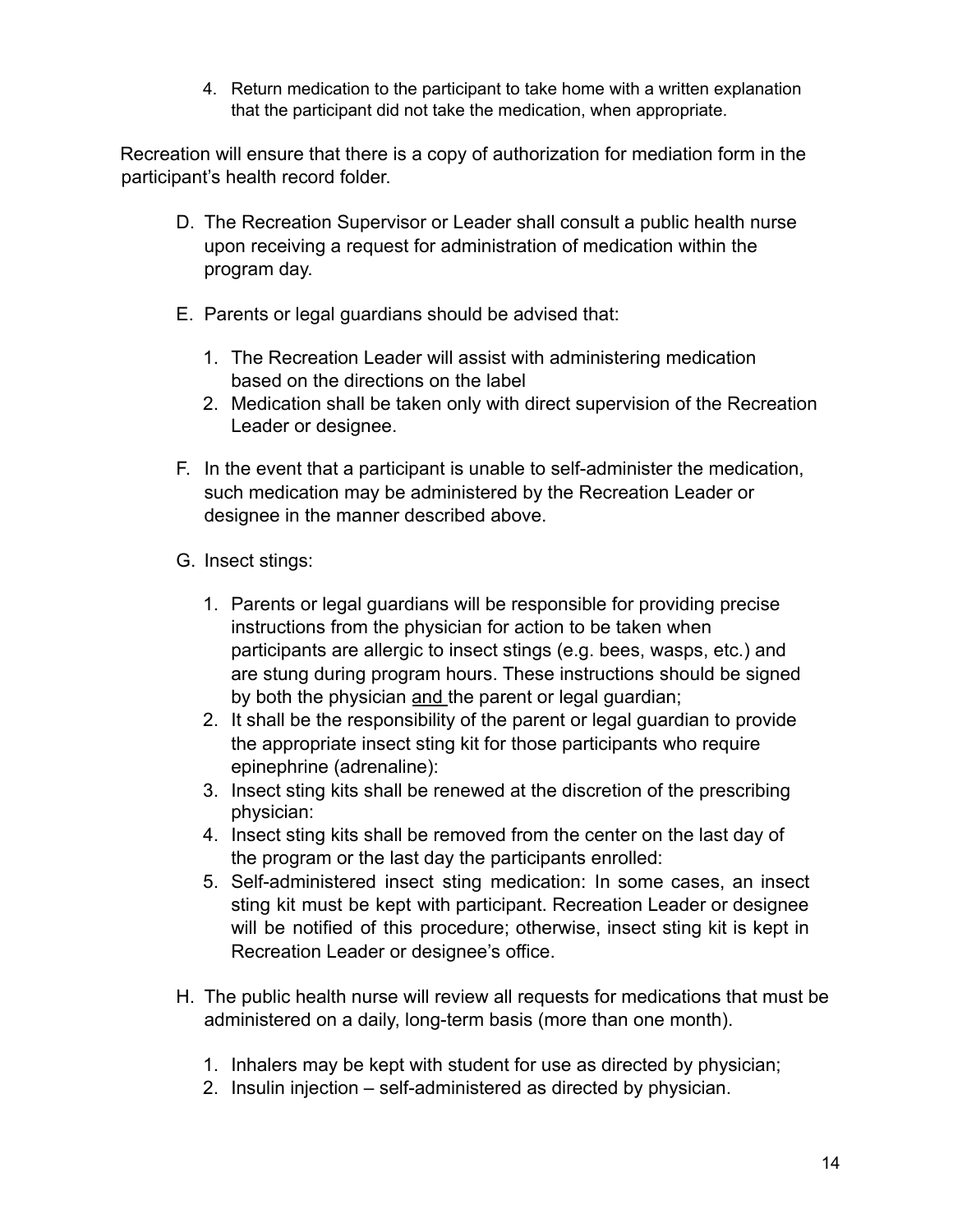4. Return medication to the participant to take home with a written explanation that the participant did not take the medication, when appropriate.

Recreation will ensure that there is a copy of authorization for mediation form in the participant's health record folder.

- D. The Recreation Supervisor or Leader shall consult a public health nurse upon receiving a request for administration of medication within the program day.
- E. Parents or legal guardians should be advised that:
	- 1. The Recreation Leader will assist with administering medication based on the directions on the label
	- 2. Medication shall be taken only with direct supervision of the Recreation Leader or designee.
- F. In the event that a participant is unable to self-administer the medication, such medication may be administered by the Recreation Leader or designee in the manner described above.
- G. Insect stings:
	- 1. Parents or legal guardians will be responsible for providing precise instructions from the physician for action to be taken when participants are allergic to insect stings (e.g. bees, wasps, etc.) and are stung during program hours. These instructions should be signed by both the physician and the parent or legal guardian;
	- 2. It shall be the responsibility of the parent or legal guardian to provide the appropriate insect sting kit for those participants who require epinephrine (adrenaline):
	- 3. Insect sting kits shall be renewed at the discretion of the prescribing physician:
	- 4. Insect sting kits shall be removed from the center on the last day of the program or the last day the participants enrolled:
	- 5. Self-administered insect sting medication: In some cases, an insect sting kit must be kept with participant. Recreation Leader or designee will be notified of this procedure; otherwise, insect sting kit is kept in Recreation Leader or designee's office.
- H. The public health nurse will review all requests for medications that must be administered on a daily, long-term basis (more than one month).
	- 1. Inhalers may be kept with student for use as directed by physician;
	- 2. Insulin injection self-administered as directed by physician.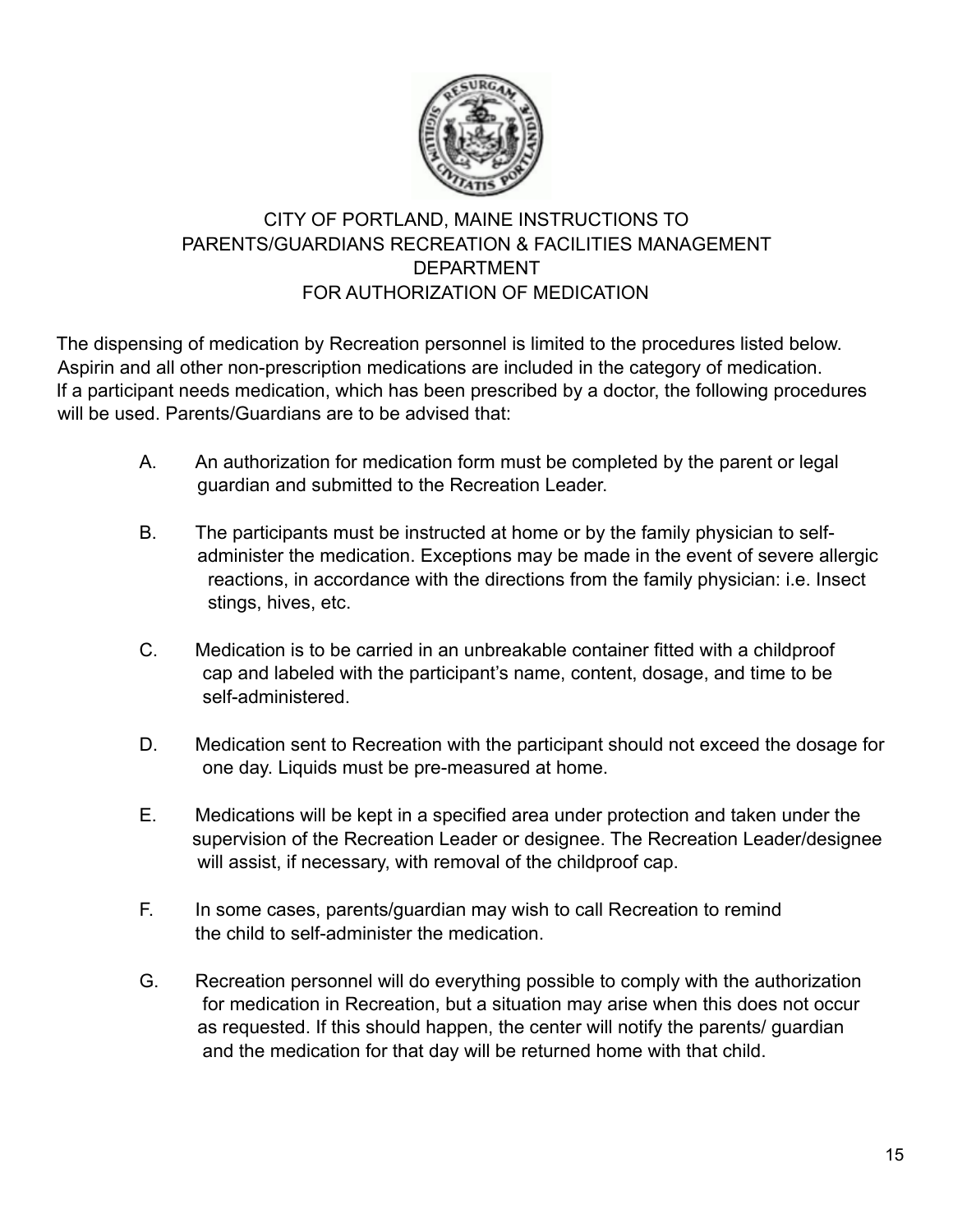

## CITY OF PORTLAND, MAINE INSTRUCTIONS TO PARENTS/GUARDIANS RECREATION & FACILITIES MANAGEMENT DEPARTMENT FOR AUTHORIZATION OF MEDICATION

The dispensing of medication by Recreation personnel is limited to the procedures listed below. Aspirin and all other non-prescription medications are included in the category of medication. If a participant needs medication, which has been prescribed by a doctor, the following procedures will be used. Parents/Guardians are to be advised that:

- A. An authorization for medication form must be completed by the parent or legal guardian and submitted to the Recreation Leader.
- B. The participants must be instructed at home or by the family physician to selfadminister the medication. Exceptions may be made in the event of severe allergic reactions, in accordance with the directions from the family physician: i.e. Insect stings, hives, etc.
- C. Medication is to be carried in an unbreakable container fitted with a childproof cap and labeled with the participant's name, content, dosage, and time to be self-administered.
- D. Medication sent to Recreation with the participant should not exceed the dosage for one day. Liquids must be pre-measured at home.
- E. Medications will be kept in a specified area under protection and taken under the supervision of the Recreation Leader or designee. The Recreation Leader/designee will assist, if necessary, with removal of the childproof cap.
- F. In some cases, parents/guardian may wish to call Recreation to remind the child to self-administer the medication.
- G. Recreation personnel will do everything possible to comply with the authorization for medication in Recreation, but a situation may arise when this does not occur as requested. If this should happen, the center will notify the parents/ guardian and the medication for that day will be returned home with that child.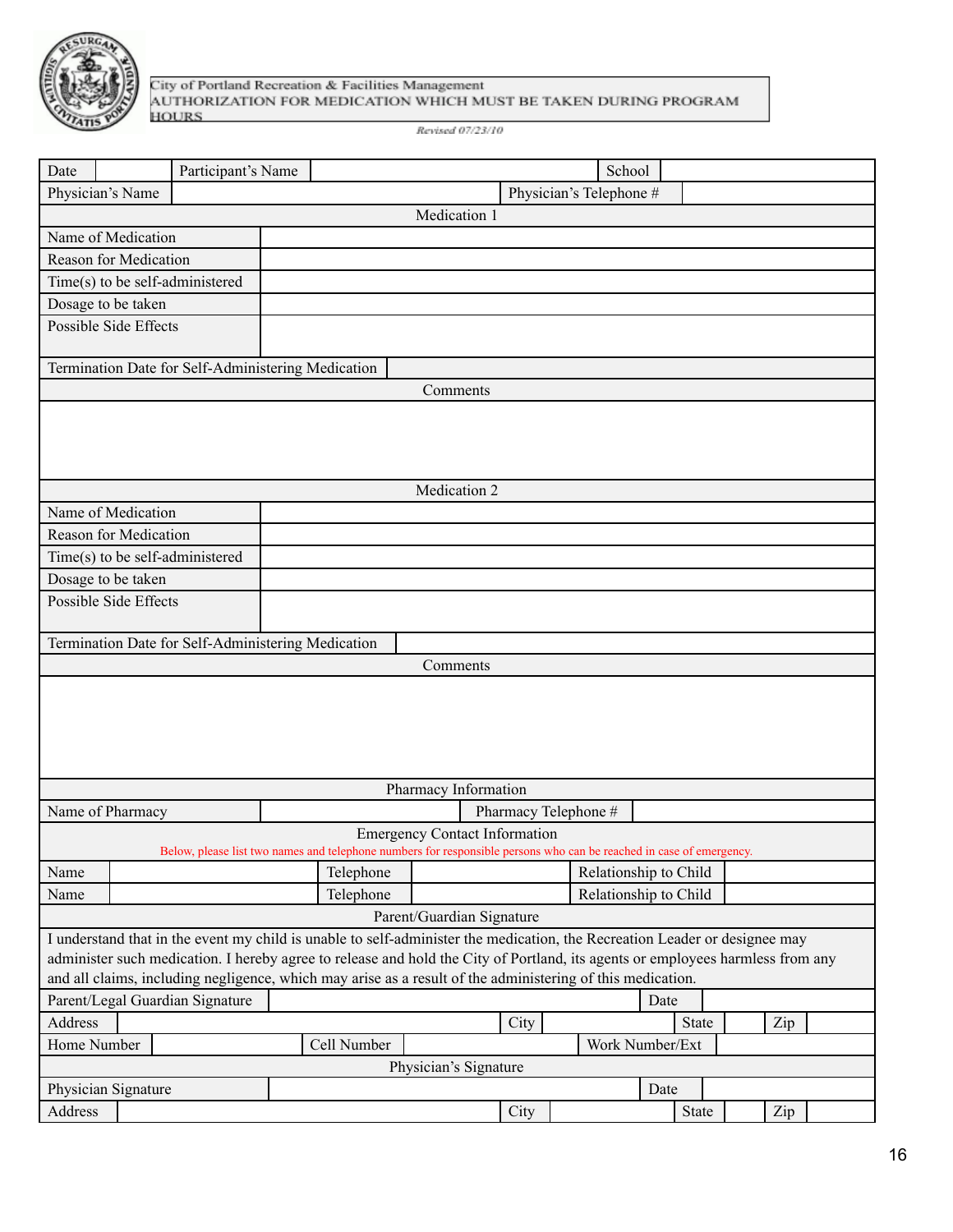

City of Portland Recreation & Facilities Management<br>AUTHORIZATION FOR MEDICATION WHICH MUST BE TAKEN DURING PROGRAM **HOURS** 

Revised 07/23/10

| Date                                                                                                                           | Participant's Name |                                                                                                                            |                                      |      | School                  |                       |     |
|--------------------------------------------------------------------------------------------------------------------------------|--------------------|----------------------------------------------------------------------------------------------------------------------------|--------------------------------------|------|-------------------------|-----------------------|-----|
| Physician's Name                                                                                                               |                    |                                                                                                                            |                                      |      | Physician's Telephone # |                       |     |
|                                                                                                                                |                    |                                                                                                                            | Medication 1                         |      |                         |                       |     |
| Name of Medication                                                                                                             |                    |                                                                                                                            |                                      |      |                         |                       |     |
| <b>Reason for Medication</b>                                                                                                   |                    |                                                                                                                            |                                      |      |                         |                       |     |
| Time(s) to be self-administered                                                                                                |                    |                                                                                                                            |                                      |      |                         |                       |     |
| Dosage to be taken                                                                                                             |                    |                                                                                                                            |                                      |      |                         |                       |     |
| Possible Side Effects                                                                                                          |                    |                                                                                                                            |                                      |      |                         |                       |     |
|                                                                                                                                |                    |                                                                                                                            |                                      |      |                         |                       |     |
| Termination Date for Self-Administering Medication                                                                             |                    |                                                                                                                            |                                      |      |                         |                       |     |
|                                                                                                                                |                    |                                                                                                                            | Comments                             |      |                         |                       |     |
|                                                                                                                                |                    |                                                                                                                            |                                      |      |                         |                       |     |
|                                                                                                                                |                    |                                                                                                                            |                                      |      |                         |                       |     |
|                                                                                                                                |                    |                                                                                                                            |                                      |      |                         |                       |     |
|                                                                                                                                |                    |                                                                                                                            | Medication 2                         |      |                         |                       |     |
| Name of Medication                                                                                                             |                    |                                                                                                                            |                                      |      |                         |                       |     |
| <b>Reason for Medication</b>                                                                                                   |                    |                                                                                                                            |                                      |      |                         |                       |     |
|                                                                                                                                |                    |                                                                                                                            |                                      |      |                         |                       |     |
| Time(s) to be self-administered                                                                                                |                    |                                                                                                                            |                                      |      |                         |                       |     |
| Dosage to be taken                                                                                                             |                    |                                                                                                                            |                                      |      |                         |                       |     |
| <b>Possible Side Effects</b>                                                                                                   |                    |                                                                                                                            |                                      |      |                         |                       |     |
| Termination Date for Self-Administering Medication                                                                             |                    |                                                                                                                            |                                      |      |                         |                       |     |
|                                                                                                                                |                    |                                                                                                                            | Comments                             |      |                         |                       |     |
|                                                                                                                                |                    |                                                                                                                            |                                      |      |                         |                       |     |
|                                                                                                                                |                    |                                                                                                                            |                                      |      |                         |                       |     |
|                                                                                                                                |                    |                                                                                                                            |                                      |      |                         |                       |     |
|                                                                                                                                |                    |                                                                                                                            |                                      |      |                         |                       |     |
|                                                                                                                                |                    |                                                                                                                            |                                      |      |                         |                       |     |
| Pharmacy Information                                                                                                           |                    |                                                                                                                            |                                      |      |                         |                       |     |
| Name of Pharmacy                                                                                                               |                    |                                                                                                                            |                                      |      | Pharmacy Telephone #    |                       |     |
|                                                                                                                                |                    |                                                                                                                            | <b>Emergency Contact Information</b> |      |                         |                       |     |
|                                                                                                                                |                    | Below, please list two names and telephone numbers for responsible persons who can be reached in case of emergency.        |                                      |      |                         |                       |     |
| Name                                                                                                                           |                    | Telephone                                                                                                                  |                                      |      |                         | Relationship to Child |     |
| Name                                                                                                                           |                    | Telephone                                                                                                                  |                                      |      |                         | Relationship to Child |     |
|                                                                                                                                |                    |                                                                                                                            | Parent/Guardian Signature            |      |                         |                       |     |
|                                                                                                                                |                    | I understand that in the event my child is unable to self-administer the medication, the Recreation Leader or designee may |                                      |      |                         |                       |     |
| administer such medication. I hereby agree to release and hold the City of Portland, its agents or employees harmless from any |                    |                                                                                                                            |                                      |      |                         |                       |     |
| and all claims, including negligence, which may arise as a result of the administering of this medication.                     |                    |                                                                                                                            |                                      |      |                         |                       |     |
| Parent/Legal Guardian Signature                                                                                                |                    |                                                                                                                            |                                      |      |                         | Date                  |     |
| Address                                                                                                                        |                    |                                                                                                                            |                                      | City |                         | State                 | Zip |
| Home Number                                                                                                                    |                    | Cell Number                                                                                                                |                                      |      |                         | Work Number/Ext       |     |
| Physician's Signature                                                                                                          |                    |                                                                                                                            |                                      |      |                         |                       |     |
| Physician Signature                                                                                                            |                    |                                                                                                                            |                                      |      |                         | Date                  |     |
| Address                                                                                                                        |                    |                                                                                                                            |                                      | City |                         | State                 | Zip |